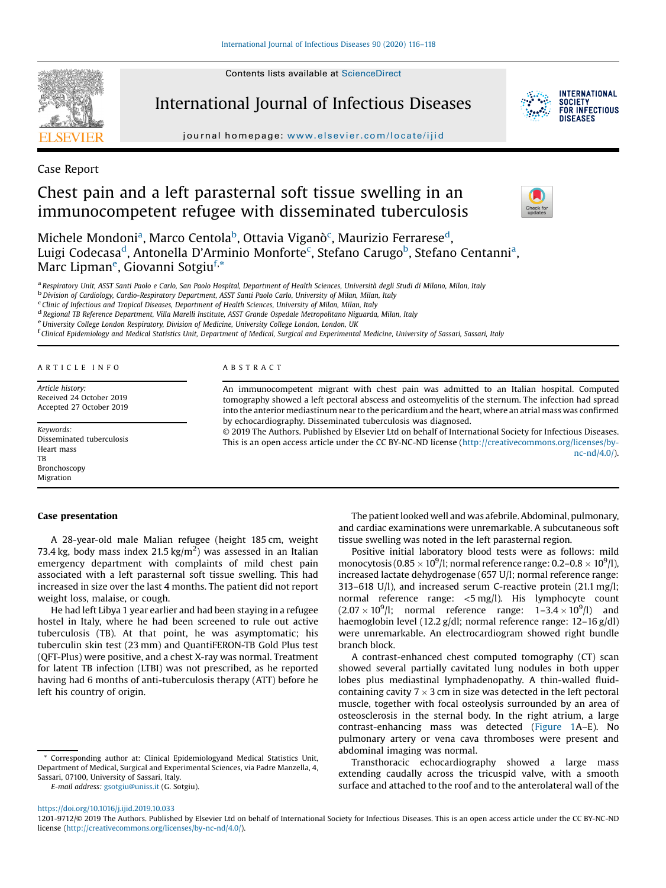Contents lists available at [ScienceDirect](http://www.sciencedirect.com/science/journal/12019712)



International Journal of Infectious Diseases



Case Report

# Chest pain and a left parasternal soft tissue swelling in an immunocompetent refugee with disseminated tuberculosis

Michele Mondoni<sup>a</sup>, Marco Centola<sup>b</sup>, Ottavia Viganò<sup>c</sup>, Maurizio Ferrarese<sup>d</sup>, Luigi Codecasa<sup>d</sup>, Antonella D'Arminio Monforte<sup>c</sup>, Stefano Carugo<sup>b</sup>, Stefano Centanni<sup>a</sup>, Marc Lipman<sup>e</sup>, Giovanni Sotgiu<sup>f,\*</sup>

<sup>a</sup> Respiratory Unit, ASST Santi Paolo e Carlo, San Paolo Hospital, Department of Health Sciences, Università degli Studi di Milano, Milan, Italy<br><sup>b</sup> Division of Cardiology, Cardio-Respiratory Department, ASST Santi Paolo

<sup>d</sup> Regional TB Reference Department, Villa Marelli Institute, ASST Grande Ospedale Metropolitano Niguarda, Milan, Italy<br><sup>e</sup> University College London Respiratory, Division of Medicine, University College London, London, U

<sup>f</sup> Clinical Epidemiology and Medical Statistics Unit, Department of Medical, Surgical and Experimental Medicine, University of Sassari, Sassari, Italy

#### A R T I C L E I N F O A B S T R A C T

Article history: Received 24 October 2019 Accepted 27 October 2019

Keywords: Disseminated tuberculosis Heart mass TB Bronchoscopy Migration

An immunocompetent migrant with chest pain was admitted to an Italian hospital. Computed tomography showed a left pectoral abscess and osteomyelitis of the sternum. The infection had spread into the anterior mediastinum near to the pericardium and the heart, where an atrial mass was confirmed by echocardiography. Disseminated tuberculosis was diagnosed.

© 2019 The Authors. Published by Elsevier Ltd on behalf of International Society for Infectious Diseases. This is an open access article under the CC BY-NC-ND license ([http://creativecommons.org/licenses/by](http://creativecommons.org/licenses/by-nc-nd/4.0/)[nc-nd/4.0/](http://creativecommons.org/licenses/by-nc-nd/4.0/)).

# Case presentation

A 28-year-old male Malian refugee (height 185 cm, weight 73.4 kg, body mass index 21.5 kg/m<sup>2</sup>) was assessed in an Italian emergency department with complaints of mild chest pain associated with a left parasternal soft tissue swelling. This had increased in size over the last 4 months. The patient did not report weight loss, malaise, or cough.

He had left Libya 1 year earlier and had been staying in a refugee hostel in Italy, where he had been screened to rule out active tuberculosis (TB). At that point, he was asymptomatic; his tuberculin skin test (23 mm) and QuantiFERON-TB Gold Plus test (QFT-Plus) were positive, and a chest X-ray was normal. Treatment for latent TB infection (LTBI) was not prescribed, as he reported having had 6 months of anti-tuberculosis therapy (ATT) before he left his country of origin.

E-mail address: [gsotgiu@uniss.it](mailto:gsotgiu@uniss.it) (G. Sotgiu).

The patient looked well and was afebrile. Abdominal, pulmonary, and cardiac examinations were unremarkable. A subcutaneous soft tissue swelling was noted in the left parasternal region.

Positive initial laboratory blood tests were as follows: mild monocytosis (0.85  $\times$  10<sup>9</sup>/l; normal reference range: 0.2–0.8  $\times$  10<sup>9</sup>/l), increased lactate dehydrogenase (657 U/l; normal reference range: 313–618 U/l), and increased serum C-reactive protein (21.1 mg/l; normal reference range: <5 mg/l). His lymphocyte count  $(2.07 \times 10^9)$ l; normal reference range:  $1-3.4 \times 10^9$ /l) and haemoglobin level (12.2 g/dl; normal reference range: 12–16 g/dl) were unremarkable. An electrocardiogram showed right bundle branch block.

A contrast-enhanced chest computed tomography (CT) scan showed several partially cavitated lung nodules in both upper lobes plus mediastinal lymphadenopathy. A thin-walled fluidcontaining cavity  $7 \times 3$  cm in size was detected in the left pectoral muscle, together with focal osteolysis surrounded by an area of osteosclerosis in the sternal body. In the right atrium, a large contrast-enhancing mass was detected ([Figure](#page-1-0) 1A–E). No pulmonary artery or vena cava thromboses were present and abdominal imaging was normal.

Transthoracic echocardiography showed a large mass extending caudally across the tricuspid valve, with a smooth surface and attached to the roof and to the anterolateral wall of the

<https://doi.org/10.1016/j.ijid.2019.10.033>



**INTERNATIONAL** SOCIETY<br>FOR INFECTIOUS DISFASES

<sup>\*</sup> Corresponding author at: Clinical Epidemiologyand Medical Statistics Unit, Department of Medical, Surgical and Experimental Sciences, via Padre Manzella, 4, Sassari, 07100, University of Sassari, Italy.

<sup>1201-9712/©</sup> 2019 The Authors. Published by Elsevier Ltd on behalf of International Society for Infectious Diseases. This is an open access article under the CC BY-NC-ND license [\(http://creativecommons.org/licenses/by-nc-nd/4.0/\)](http://creativecommons.org/licenses/by-nc-nd/4.0/).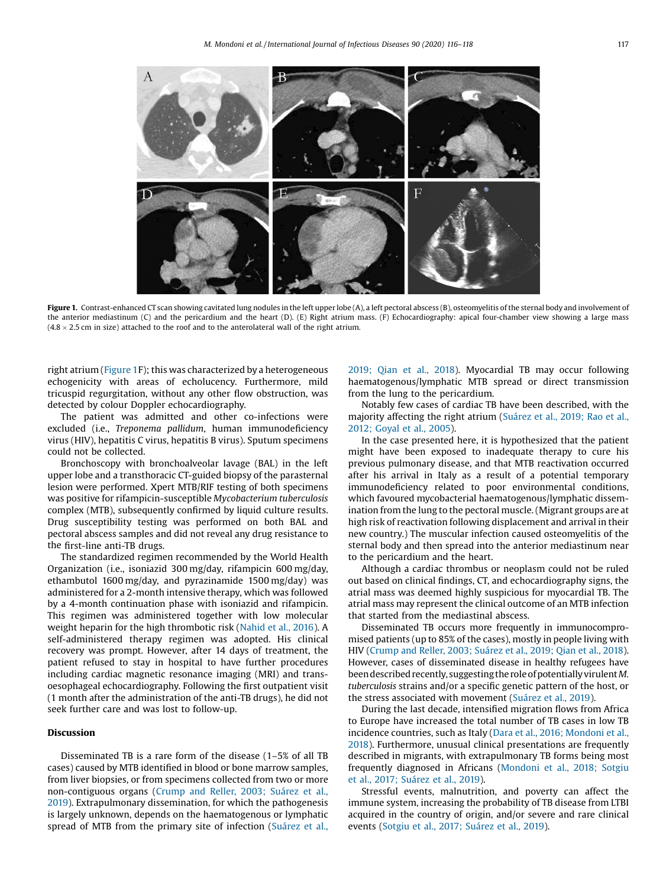<span id="page-1-0"></span>

Figure 1. Contrast-enhanced CT scan showing cavitated lung nodules in the left upper lobe (A), a left pectoral abscess (B), osteomyelitis of the sternal body and involvement of the anterior mediastinum (C) and the pericardium and the heart (D). (E) Right atrium mass. (F) Echocardiography: apical four-chamber view showing a large mass  $(4.8 \times 2.5 \text{ cm})$  in size) attached to the roof and to the anterolateral wall of the right atrium.

right atrium (Figure 1F); this was characterized by a heterogeneous echogenicity with areas of echolucency. Furthermore, mild tricuspid regurgitation, without any other flow obstruction, was detected by colour Doppler echocardiography.

The patient was admitted and other co-infections were excluded (i.e., Treponema pallidum, human immunodeficiency virus (HIV), hepatitis C virus, hepatitis B virus). Sputum specimens could not be collected.

Bronchoscopy with bronchoalveolar lavage (BAL) in the left upper lobe and a transthoracic CT-guided biopsy of the parasternal lesion were performed. Xpert MTB/RIF testing of both specimens was positive for rifampicin-susceptible Mycobacterium tuberculosis complex (MTB), subsequently confirmed by liquid culture results. Drug susceptibility testing was performed on both BAL and pectoral abscess samples and did not reveal any drug resistance to the first-line anti-TB drugs.

The standardized regimen recommended by the World Health Organization (i.e., isoniazid 300 mg/day, rifampicin 600 mg/day, ethambutol 1600 mg/day, and pyrazinamide 1500 mg/day) was administered for a 2-month intensive therapy, which was followed by a 4-month continuation phase with isoniazid and rifampicin. This regimen was administered together with low molecular weight heparin for the high thrombotic risk ([Nahid](#page-2-0) et al., 2016). A self-administered therapy regimen was adopted. His clinical recovery was prompt. However, after 14 days of treatment, the patient refused to stay in hospital to have further procedures including cardiac magnetic resonance imaging (MRI) and transoesophageal echocardiography. Following the first outpatient visit (1 month after the administration of the anti-TB drugs), he did not seek further care and was lost to follow-up.

### Discussion

Disseminated TB is a rare form of the disease (1–5% of all TB cases) caused by MTB identified in blood or bone marrow samples, from liver biopsies, or from specimens collected from two or more non-contiguous organs ([Crump](#page-2-0) and Reller, 2003; Suárez et al., [2019\)](#page-2-0). Extrapulmonary dissemination, for which the pathogenesis is largely unknown, depends on the haematogenous or lymphatic spread of MTB from the primary site of infection [\(Suárez](#page-2-0) et al., [2019;](#page-2-0) Qian et al., 2018). Myocardial TB may occur following haematogenous/lymphatic MTB spread or direct transmission from the lung to the pericardium.

Notably few cases of cardiac TB have been described, with the majority affecting the right atrium ([Suárez](#page-2-0) et al., 2019; Rao et al., 2012; [Goyal](#page-2-0) et al., 2005).

In the case presented here, it is hypothesized that the patient might have been exposed to inadequate therapy to cure his previous pulmonary disease, and that MTB reactivation occurred after his arrival in Italy as a result of a potential temporary immunodeficiency related to poor environmental conditions, which favoured mycobacterial haematogenous/lymphatic dissemination from the lung to the pectoral muscle.(Migrant groups are at high risk of reactivation following displacement and arrival in their new country.) The muscular infection caused osteomyelitis of the sternal body and then spread into the anterior mediastinum near to the pericardium and the heart.

Although a cardiac thrombus or neoplasm could not be ruled out based on clinical findings, CT, and echocardiography signs, the atrial mass was deemed highly suspicious for myocardial TB. The atrial mass may represent the clinical outcome of an MTB infection that started from the mediastinal abscess.

Disseminated TB occurs more frequently in immunocompromised patients (up to 85% of the cases), mostly in people living with HIV ([Crump](#page-2-0) and Reller, 2003; Suárez et al., 2019; Qian et al., 2018). However, cases of disseminated disease in healthy refugees have been described recently, suggesting the role of potentially virulent M. tuberculosis strains and/or a specific genetic pattern of the host, or the stress associated with movement ([Suárez](#page-2-0) et al., 2019).

During the last decade, intensified migration flows from Africa to Europe have increased the total number of TB cases in low TB incidence countries, such as Italy (Dara et al., 2016; [Mondoni](#page-2-0) et al., [2018\)](#page-2-0). Furthermore, unusual clinical presentations are frequently described in migrants, with extrapulmonary TB forms being most frequently diagnosed in Africans [\(Mondoni](#page-2-0) et al., 2018; Sotgiu et al., 2017; [Suárez](#page-2-0) et al., 2019).

Stressful events, malnutrition, and poverty can affect the immune system, increasing the probability of TB disease from LTBI acquired in the country of origin, and/or severe and rare clinical events (Sotgiu et al., 2017; [Suárez](#page-2-0) et al., 2019).